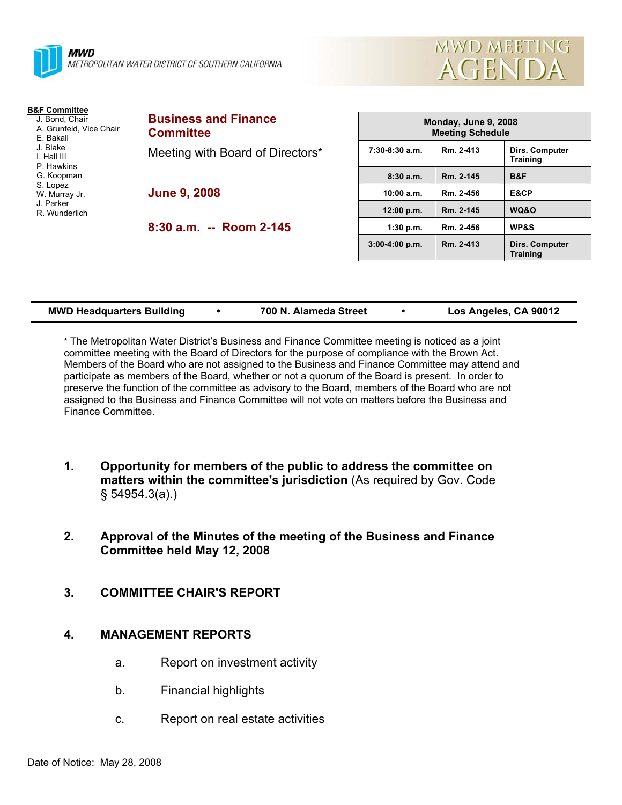



| <b>B&amp;F Committee</b><br>J. Bond, Chair<br>A. Grunfeld, Vice Chair<br>E. Bakall<br>J. Blake<br>I. Hall III<br>P. Hawkins<br>G. Koopman<br>S. Lopez<br>W. Murray Jr.<br>J. Parker<br>R Wunderlich | <b>Business and Finance</b><br><b>Committee</b> |  |  |
|-----------------------------------------------------------------------------------------------------------------------------------------------------------------------------------------------------|-------------------------------------------------|--|--|
|                                                                                                                                                                                                     | Meeting with Board of Directors*                |  |  |
|                                                                                                                                                                                                     | <b>June 9, 2008</b>                             |  |  |
|                                                                                                                                                                                                     | 8:30 a.m. -- Room 2-145                         |  |  |

| Monday, June 9, 2008<br><b>Meeting Schedule</b> |           |                                          |  |  |  |
|-------------------------------------------------|-----------|------------------------------------------|--|--|--|
| $7:30-8:30$ a.m.                                | Rm. 2-413 | Dirs. Computer<br><b>Training</b>        |  |  |  |
| 8:30a.m.                                        | Rm. 2-145 | B&F                                      |  |  |  |
| 10:00 a.m.                                      | Rm. 2-456 | E&CP                                     |  |  |  |
| 12:00 p.m.                                      | Rm. 2-145 | WQ&O                                     |  |  |  |
| 1:30 p.m.                                       | Rm. 2-456 | <b>WP&amp;S</b>                          |  |  |  |
| $3:00-4:00 p.m.$                                | Rm. 2-413 | <b>Dirs. Computer</b><br><b>Training</b> |  |  |  |

| <b>MWD Headquarters Building</b> |  | 700 N. Alameda Street |  | Los Angeles, CA 90012 |
|----------------------------------|--|-----------------------|--|-----------------------|
|----------------------------------|--|-----------------------|--|-----------------------|

\* The Metropolitan Water District's Business and Finance Committee meeting is noticed as a joint committee meeting with the Board of Directors for the purpose of compliance with the Brown Act. Members of the Board who are not assigned to the Business and Finance Committee may attend and participate as members of the Board, whether or not a quorum of the Board is present. In order to preserve the function of the committee as advisory to the Board, members of the Board who are not assigned to the Business and Finance Committee will not vote on matters before the Business and Finance Committee.

- **1. Opportunity for members of the public to address the committee on matters within the committee's jurisdiction** (As required by Gov. Code § 54954.3(a).)
- **2. Approval of the Minutes of the meeting of the Business and Finance Committee held May 12, 2008**
- **3. COMMITTEE CHAIR'S REPORT**

#### **4. MANAGEMENT REPORTS**

- a. Report on investment activity
- b. Financial highlights
- c. Report on real estate activities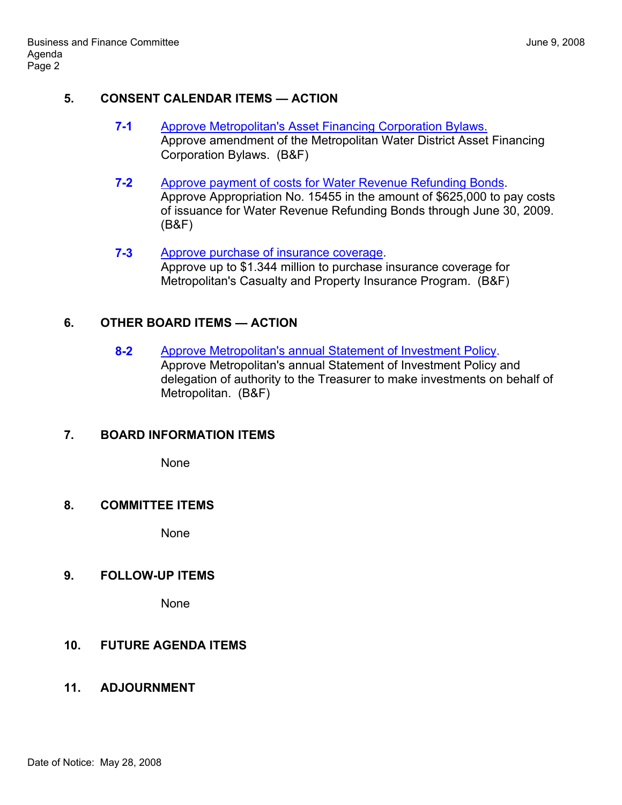#### **5. CONSENT CALENDAR ITEMS — ACTION**

- **7-1** Approve Metropolitan's Asset Financing Corporation Bylaws. Approve amendment of the Metropolitan Water District Asset Financing Corporation Bylaws. (B&F)
- **7-2** Approve payment of costs for Water Revenue Refunding Bonds. Approve Appropriation No. 15455 in the amount of \$625,000 to pay costs of issuance for Water Revenue Refunding Bonds through June 30, 2009. (B&F)
- **7-3** Approve purchase of insurance coverage. Approve up to \$1.344 million to purchase insurance coverage for Metropolitan's Casualty and Property Insurance Program. (B&F)

## **6. OTHER BOARD ITEMS — ACTION**

**8-2** Approve Metropolitan's annual Statement of Investment Policy. Approve Metropolitan's annual Statement of Investment Policy and delegation of authority to the Treasurer to make investments on behalf of Metropolitan. (B&F)

## **7. BOARD INFORMATION ITEMS**

None

#### **8. COMMITTEE ITEMS**

None

#### **9. FOLLOW-UP ITEMS**

None

# **10. FUTURE AGENDA ITEMS**

## **11. ADJOURNMENT**